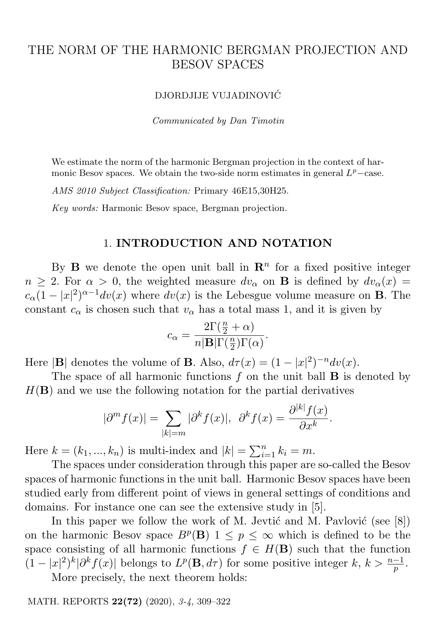# THE NORM OF THE HARMONIC BERGMAN PROJECTION AND BESOV SPACES

#### DJORDJIJE VUJADINOVIC´

Communicated by Dan Timotin

We estimate the norm of the harmonic Bergman projection in the context of harmonic Besov spaces. We obtain the two-side norm estimates in general  $L^p$ -case.

AMS 2010 Subject Classification: Primary 46E15,30H25.

Key words: Harmonic Besov space, Bergman projection.

## 1. INTRODUCTION AND NOTATION

By **B** we denote the open unit ball in  $\mathbb{R}^n$  for a fixed positive integer  $n \geq 2$ . For  $\alpha > 0$ , the weighted measure  $dv_{\alpha}$  on **B** is defined by  $dv_{\alpha}(x) =$  $c_{\alpha}(1-|x|^2)^{\alpha-1}dv(x)$  where  $dv(x)$  is the Lebesgue volume measure on **B**. The constant  $c_{\alpha}$  is chosen such that  $v_{\alpha}$  has a total mass 1, and it is given by

$$
c_{\alpha} = \frac{2\Gamma(\frac{n}{2} + \alpha)}{n|\mathbf{B}|\Gamma(\frac{n}{2})\Gamma(\alpha)}.
$$

Here  $|\mathbf{B}|$  denotes the volume of **B**. Also,  $d\tau(x) = (1 - |x|^2)^{-n} dv(x)$ .

The space of all harmonic functions  $f$  on the unit ball  $\bf{B}$  is denoted by  $H(\mathbf{B})$  and we use the following notation for the partial derivatives

$$
|\partial^m f(x)| = \sum_{|k|=m} |\partial^k f(x)|, \ \ \partial^k f(x) = \frac{\partial^{|k|} f(x)}{\partial x^k}.
$$

Here  $k = (k_1, ..., k_n)$  is multi-index and  $|k| = \sum_{i=1}^{n} k_i = m$ .

The spaces under consideration through this paper are so-called the Besov spaces of harmonic functions in the unit ball. Harmonic Besov spaces have been studied early from different point of views in general settings of conditions and domains. For instance one can see the extensive study in [5].

In this paper we follow the work of M. Jevtić and M. Pavlović (see  $[8]$ ) on the harmonic Besov space  $B^p(\mathbf{B})$   $1 \leq p \leq \infty$  which is defined to be the space consisting of all harmonic functions  $f \in H(\mathbf{B})$  such that the function  $(1-|x|^2)^k|\partial^k f(x)|$  belongs to  $L^p(\mathbf{B}, d\tau)$  for some positive integer  $k, k > \frac{n-1}{p}$ .

More precisely, the next theorem holds:

MATH. REPORTS 22(72) (2020), 3-4, 309–322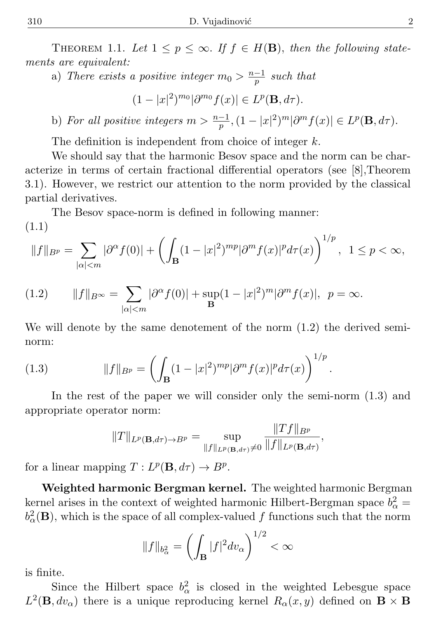THEOREM 1.1. Let  $1 \leq p \leq \infty$ . If  $f \in H(\mathbf{B})$ , then the following statements are equivalent:

a) There exists a positive integer  $m_0 > \frac{n-1}{p}$  $\frac{-1}{p}$  such that

 $(1-|x|^2)^{m_0}|\partial^{m_0}f(x)| \in L^p(\mathbf{B},d\tau).$ 

b) For all positive integers  $m > \frac{n-1}{p}, (1 - |x|^2)^m |\partial^m f(x)| \in L^p(\mathbf{B}, d\tau)$ .

The definition is independent from choice of integer k.

We should say that the harmonic Besov space and the norm can be characterize in terms of certain fractional differential operators (see [8],Theorem 3.1). However, we restrict our attention to the norm provided by the classical partial derivatives.

The Besov space-norm is defined in following manner: (1.1)

$$
||f||_{B^{p}} = \sum_{|\alpha| < m} |\partial^{\alpha} f(0)| + \left( \int_{\mathbf{B}} (1 - |x|^{2})^{mp} |\partial^{m} f(x)|^{p} d\tau(x) \right)^{1/p}, \ \ 1 \leq p < \infty,
$$

(1.2) 
$$
||f||_{B^{\infty}} = \sum_{|\alpha| < m} |\partial^{\alpha} f(0)| + \sup_{\mathbf{B}} (1 - |x|^2)^m |\partial^m f(x)|, \ \ p = \infty.
$$

We will denote by the same denotement of the norm (1.2) the derived seminorm:

(1.3) 
$$
||f||_{B^p} = \left(\int_{\mathbf{B}} (1-|x|^2)^{mp} |\partial^m f(x)|^p d\tau(x)\right)^{1/p}.
$$

In the rest of the paper we will consider only the semi-norm (1.3) and appropriate operator norm:

$$
||T||_{L^p(\mathbf{B},d\tau)\to B^p}=\sup_{||f||_{L^p(\mathbf{B},d\tau)}\neq 0}\frac{||Tf||_{B^p}}{||f||_{L^p(\mathbf{B},d\tau)}},
$$

for a linear mapping  $T: L^p(\mathbf{B}, d\tau) \to B^p$ .

Weighted harmonic Bergman kernel. The weighted harmonic Bergman kernel arises in the context of weighted harmonic Hilbert-Bergman space  $b^2_{\alpha} =$  $b^2_\alpha(\mathbf{B})$ , which is the space of all complex-valued f functions such that the norm

$$
||f||_{b^2_{\alpha}} = \left(\int_{\mathbf{B}} |f|^2 dv_{\alpha}\right)^{1/2} < \infty
$$

is finite.

Since the Hilbert space  $b^2_\alpha$  is closed in the weighted Lebesgue space  $L^2(\mathbf{B}, dv_\alpha)$  there is a unique reproducing kernel  $R_\alpha(x, y)$  defined on  $\mathbf{B} \times \mathbf{B}$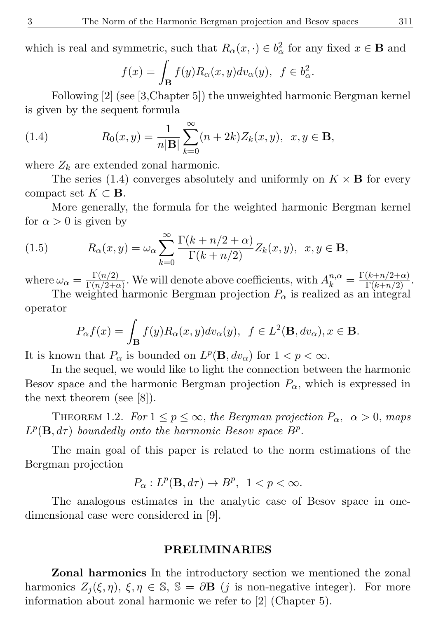which is real and symmetric, such that  $R_{\alpha}(x, \cdot) \in b_{\alpha}^{2}$  for any fixed  $x \in \mathbf{B}$  and

$$
f(x) = \int_{\mathbf{B}} f(y) R_{\alpha}(x, y) dv_{\alpha}(y), \ f \in b_{\alpha}^{2}.
$$

Following [2] (see [3,Chapter 5]) the unweighted harmonic Bergman kernel is given by the sequent formula

(1.4) 
$$
R_0(x, y) = \frac{1}{n|\mathbf{B}|} \sum_{k=0}^{\infty} (n + 2k) Z_k(x, y), \ \ x, y \in \mathbf{B},
$$

where  $Z_k$  are extended zonal harmonic.

The series (1.4) converges absolutely and uniformly on  $K \times B$  for every compact set  $K \subset \mathbf{B}$ .

More generally, the formula for the weighted harmonic Bergman kernel for  $\alpha > 0$  is given by

(1.5) 
$$
R_{\alpha}(x,y) = \omega_{\alpha} \sum_{k=0}^{\infty} \frac{\Gamma(k+n/2+\alpha)}{\Gamma(k+n/2)} Z_{k}(x,y), \ x, y \in \mathbf{B},
$$

where  $\omega_{\alpha} = \frac{\Gamma(n/2)}{\Gamma(n/2+\epsilon)}$  $\frac{\Gamma(n/2)}{\Gamma(n/2+\alpha)}$ . We will denote above coefficients, with  $A_k^{n,\alpha} = \frac{\Gamma(k+n/2+\alpha)}{\Gamma(k+n/2)}$ .

The weighted harmonic Bergman projection  $P_{\alpha}$  is realized as an integral operator

$$
P_{\alpha}f(x) = \int_{\mathbf{B}} f(y)R_{\alpha}(x, y)dv_{\alpha}(y), \ \ f \in L^{2}(\mathbf{B}, dv_{\alpha}), x \in \mathbf{B}.
$$

It is known that  $P_{\alpha}$  is bounded on  $L^p(\mathbf{B}, dv_{\alpha})$  for  $1 < p < \infty$ .

In the sequel, we would like to light the connection between the harmonic Besov space and the harmonic Bergman projection  $P_{\alpha}$ , which is expressed in the next theorem (see [8]).

THEOREM 1.2. For  $1 \le p \le \infty$ , the Bergman projection  $P_{\alpha}$ ,  $\alpha > 0$ , maps  $L^p(\mathbf{B}, d\tau)$  boundedly onto the harmonic Besov space  $B^p$ .

The main goal of this paper is related to the norm estimations of the Bergman projection

$$
P_{\alpha}: L^p(\mathbf{B}, d\tau) \to B^p, \ \ 1 < p < \infty.
$$

The analogous estimates in the analytic case of Besov space in onedimensional case were considered in [9].

### PRELIMINARIES

Zonal harmonics In the introductory section we mentioned the zonal harmonics  $Z_i(\xi, \eta)$ ,  $\xi, \eta \in \mathbb{S}$ ,  $\mathbb{S} = \partial \mathbf{B}$  (j is non-negative integer). For more information about zonal harmonic we refer to [2] (Chapter 5).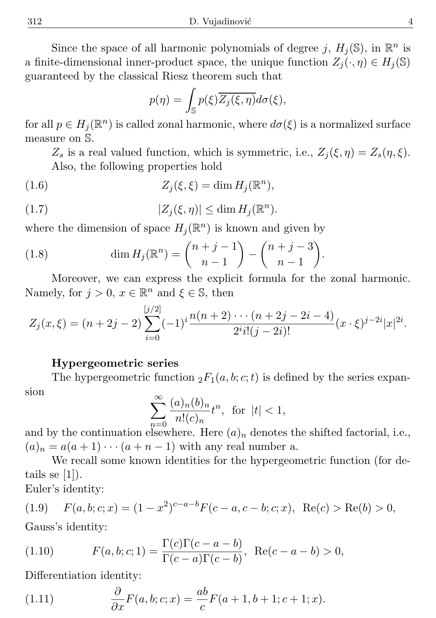Since the space of all harmonic polynomials of degree j,  $H_j(\mathbb{S})$ , in  $\mathbb{R}^n$  is a finite-dimensional inner-product space, the unique function  $Z_i(\cdot, \eta) \in H_i(\mathbb{S})$ guaranteed by the classical Riesz theorem such that

$$
p(\eta) = \int_{\mathbb{S}} p(\xi) \overline{Z_j(\xi, \eta)} d\sigma(\xi),
$$

for all  $p \in H_j(\mathbb{R}^n)$  is called zonal harmonic, where  $d\sigma(\xi)$  is a normalized surface measure on S.

 $Z_s$  is a real valued function, which is symmetric, i.e.,  $Z_i(\xi, \eta) = Z_s(\eta, \xi)$ . Also, the following properties hold

(1.6) 
$$
Z_j(\xi,\xi) = \dim H_j(\mathbb{R}^n),
$$

(1.7) 
$$
|Z_j(\xi,\eta)| \leq \dim H_j(\mathbb{R}^n).
$$

where the dimension of space  $H_j(\mathbb{R}^n)$  is known and given by

(1.8) 
$$
\dim H_j(\mathbb{R}^n) = \binom{n+j-1}{n-1} - \binom{n+j-3}{n-1}.
$$

Moreover, we can express the explicit formula for the zonal harmonic. Namely, for  $j > 0$ ,  $x \in \mathbb{R}^n$  and  $\xi \in \mathbb{S}$ , then

$$
Z_j(x,\xi) = (n+2j-2)\sum_{i=0}^{[j/2]} (-1)^i \frac{n(n+2)\cdots(n+2j-2i-4)}{2^i i! (j-2i)!} (x \cdot \xi)^{j-2i} |x|^{2i}.
$$

#### Hypergeometric series

The hypergeometric function  ${}_2F_1(a, b; c; t)$  is defined by the series expansion

$$
\sum_{n=0}^{\infty} \frac{(a)_n (b)_n}{n!(c)_n} t^n, \text{ for } |t| < 1,
$$

and by the continuation elsewhere. Here  $(a)_n$  denotes the shifted factorial, i.e.,  $(a)_n = a(a+1)\cdots(a+n-1)$  with any real number a.

We recall some known identities for the hypergeometric function (for details se  $|1|$ ).

Euler's identity:

(1.9) 
$$
F(a, b; c; x) = (1 - x^2)^{c - a - b} F(c - a, c - b; c; x), \text{ Re}(c) > \text{Re}(b) > 0,
$$

Gauss's identity:

(1.10) 
$$
F(a, b; c; 1) = \frac{\Gamma(c)\Gamma(c - a - b)}{\Gamma(c - a)\Gamma(c - b)}, \text{ Re}(c - a - b) > 0,
$$

Differentiation identity:

(1.11) 
$$
\frac{\partial}{\partial x}F(a, b; c; x) = \frac{ab}{c}F(a+1, b+1; c+1; x).
$$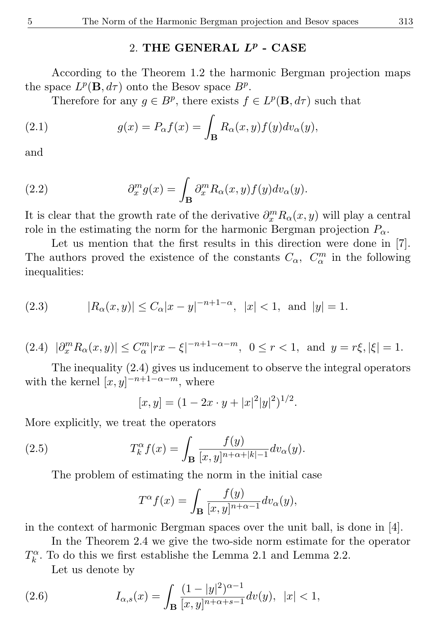# 2. THE GENERAL  $L^p$  - CASE

According to the Theorem 1.2 the harmonic Bergman projection maps the space  $L^p(\mathbf{B}, d\tau)$  onto the Besov space  $B^p$ .

Therefore for any  $g \in B^p$ , there exists  $f \in L^p(\mathbf{B}, d\tau)$  such that

(2.1) 
$$
g(x) = P_{\alpha}f(x) = \int_{\mathbf{B}} R_{\alpha}(x, y) f(y) dv_{\alpha}(y),
$$

and

(2.2) 
$$
\partial_x^m g(x) = \int_{\mathbf{B}} \partial_x^m R_\alpha(x, y) f(y) dv_\alpha(y).
$$

It is clear that the growth rate of the derivative  $\partial_x^m R_{\alpha}(x, y)$  will play a central role in the estimating the norm for the harmonic Bergman projection  $P_{\alpha}$ .

Let us mention that the first results in this direction were done in [7]. The authors proved the existence of the constants  $C_{\alpha}$ ,  $C_{\alpha}^{m}$  in the following inequalities:

(2.3) 
$$
|R_{\alpha}(x,y)| \le C_{\alpha}|x-y|^{-n+1-\alpha}, |x| < 1, \text{ and } |y| = 1.
$$

$$
(2.4) \quad |\partial_x^m R_\alpha(x,y)| \le C_\alpha^m |rx - \xi|^{-n+1-\alpha-m}, \ \ 0 \le r < 1, \ \text{and} \ \ y = r\xi, |\xi| = 1.
$$

The inequality (2.4) gives us inducement to observe the integral operators with the kernel  $[x, y]^{-n+1-\alpha-m}$ , where

$$
[x, y] = (1 - 2x \cdot y + |x|^2 |y|^2)^{1/2}.
$$

More explicitly, we treat the operators

(2.5) 
$$
T_k^{\alpha} f(x) = \int_{\mathbf{B}} \frac{f(y)}{[x, y]^{n+\alpha+|k|-1}} dv_{\alpha}(y).
$$

The problem of estimating the norm in the initial case

$$
T^{\alpha}f(x) = \int_{\mathbf{B}} \frac{f(y)}{[x,y]^{n+\alpha-1}} dv_{\alpha}(y),
$$

in the context of harmonic Bergman spaces over the unit ball, is done in [4].

In the Theorem 2.4 we give the two-side norm estimate for the operator  $T_k^{\alpha}$ . To do this we first establishe the Lemma 2.1 and Lemma 2.2.

Let us denote by

(2.6) 
$$
I_{\alpha,s}(x) = \int_{\mathbf{B}} \frac{(1-|y|^2)^{\alpha-1}}{[x,y]^{n+\alpha+s-1}} dv(y), \ |x| < 1,
$$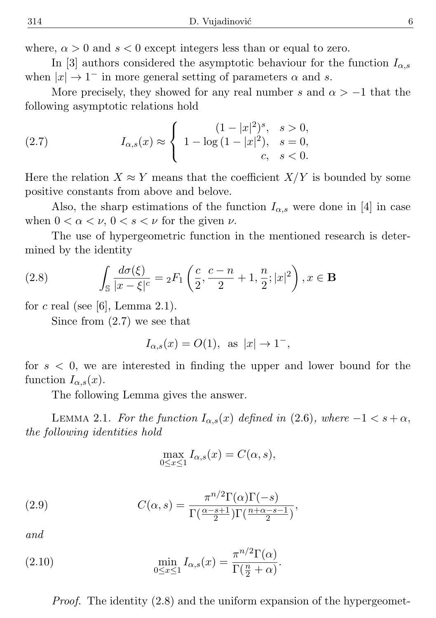where,  $\alpha > 0$  and  $s < 0$  except integers less than or equal to zero.

In [3] authors considered the asymptotic behaviour for the function  $I_{\alpha,s}$ when  $|x| \to 1^-$  in more general setting of parameters  $\alpha$  and s.

More precisely, they showed for any real number s and  $\alpha > -1$  that the following asymptotic relations hold

(2.7) 
$$
I_{\alpha,s}(x) \approx \begin{cases} (1-|x|^2)^s, & s > 0, \\ 1 - \log(1-|x|^2), & s = 0, \\ c, & s < 0. \end{cases}
$$

Here the relation  $X \approx Y$  means that the coefficient  $X/Y$  is bounded by some positive constants from above and belove.

Also, the sharp estimations of the function  $I_{\alpha,s}$  were done in [4] in case when  $0 < \alpha < \nu$ ,  $0 < s < \nu$  for the given  $\nu$ .

The use of hypergeometric function in the mentioned research is determined by the identity

(2.8) 
$$
\int_{\mathbb{S}} \frac{d\sigma(\xi)}{|x-\xi|^c} = {}_2F_1\left(\frac{c}{2}, \frac{c-n}{2} + 1, \frac{n}{2}; |x|^2\right), x \in \mathbf{B}
$$

for c real (see [6], Lemma 2.1).

Since from (2.7) we see that

$$
I_{\alpha,s}(x) = O(1), \text{ as } |x| \to 1^{-},
$$

for  $s < 0$ , we are interested in finding the upper and lower bound for the function  $I_{\alpha,s}(x)$ .

The following Lemma gives the answer.

LEMMA 2.1. For the function  $I_{\alpha,s}(x)$  defined in (2.6), where  $-1 < s + \alpha$ , the following identities hold

$$
\max_{0 \le x \le 1} I_{\alpha,s}(x) = C(\alpha, s),
$$

(2.9) 
$$
C(\alpha, s) = \frac{\pi^{n/2} \Gamma(\alpha) \Gamma(-s)}{\Gamma(\frac{\alpha-s+1}{2}) \Gamma(\frac{n+\alpha-s-1}{2})},
$$

and

(2.10) 
$$
\min_{0 \le x \le 1} I_{\alpha,s}(x) = \frac{\pi^{n/2} \Gamma(\alpha)}{\Gamma(\frac{n}{2} + \alpha)}.
$$

Proof. The identity (2.8) and the uniform expansion of the hypergeomet-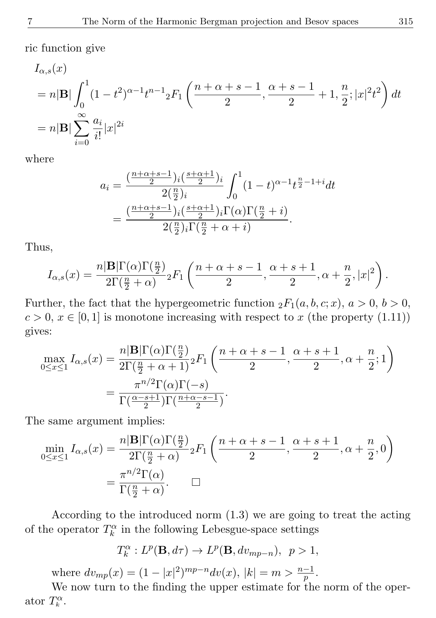ric function give

$$
I_{\alpha,s}(x)
$$
  
=  $n|\mathbf{B}| \int_0^1 (1-t^2)^{\alpha-1} t^{n-1} {}_{2}F_1\left(\frac{n+\alpha+s-1}{2}, \frac{\alpha+s-1}{2} + 1, \frac{n}{2}; |x|^2 t^2\right) dt$   
=  $n|\mathbf{B}| \sum_{i=0}^{\infty} \frac{a_i}{i!} |x|^{2i}$ 

where

$$
a_i = \frac{\left(\frac{n+\alpha+s-1}{2}\right)i\left(\frac{s+\alpha+1}{2}\right)i}{2\left(\frac{n}{2}\right)i} \int_0^1 (1-t)^{\alpha-1} t^{\frac{n}{2}-1+i} dt
$$
  
= 
$$
\frac{\left(\frac{n+\alpha+s-1}{2}\right)i\left(\frac{s+\alpha+1}{2}\right)i\Gamma(\alpha)\Gamma(\frac{n}{2}+i)}{2\left(\frac{n}{2}\right)i\Gamma(\frac{n}{2}+\alpha+i)}.
$$

Thus,

$$
I_{\alpha,s}(x) = \frac{n|\mathbf{B}|\Gamma(\alpha)\Gamma(\frac{n}{2})}{2\Gamma(\frac{n}{2}+\alpha)}{}_2F_1\left(\frac{n+\alpha+s-1}{2},\frac{\alpha+s+1}{2},\alpha+\frac{n}{2},|x|^2\right).
$$

Further, the fact that the hypergeometric function  ${}_2F_1(a, b, c; x)$ ,  $a > 0$ ,  $b > 0$ ,  $c > 0, x \in [0, 1]$  is monotone increasing with respect to x (the property (1.11)) gives:

$$
\max_{0 \le x \le 1} I_{\alpha,s}(x) = \frac{n|\mathbf{B}|\Gamma(\alpha)\Gamma(\frac{n}{2})}{2\Gamma(\frac{n}{2} + \alpha + 1)} {}_{2}F_{1}\left(\frac{n+\alpha+s-1}{2}, \frac{\alpha+s+1}{2}, \alpha+\frac{n}{2}; 1\right)
$$

$$
= \frac{\pi^{n/2}\Gamma(\alpha)\Gamma(-s)}{\Gamma(\frac{\alpha-s+1}{2})\Gamma(\frac{n+\alpha-s-1}{2})}.
$$

The same argument implies:

$$
\min_{0 \le x \le 1} I_{\alpha,s}(x) = \frac{n|\mathbf{B}|\Gamma(\alpha)\Gamma(\frac{n}{2})}{2\Gamma(\frac{n}{2} + \alpha)} {}_2F_1\left(\frac{n+\alpha+s-1}{2}, \frac{\alpha+s+1}{2}, \alpha+\frac{n}{2}, 0\right)
$$

$$
= \frac{\pi^{n/2}\Gamma(\alpha)}{\Gamma(\frac{n}{2} + \alpha)}.
$$

According to the introduced norm (1.3) we are going to treat the acting of the operator  $T_k^{\alpha}$  in the following Lebesgue-space settings

$$
T_k^{\alpha}: L^p(\mathbf{B}, d\tau) \to L^p(\mathbf{B}, dv_{mp-n}), \ \ p > 1,
$$

where  $dv_{mp}(x) = (1 - |x|^2)^{mp-n} dv(x)$ ,  $|k| = m > \frac{n-1}{p}$ .

We now turn to the finding the upper estimate for the norm of the operator  $T_k^{\alpha}$ .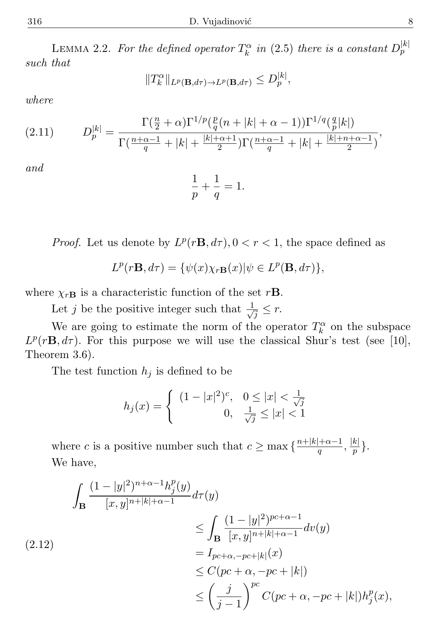LEMMA 2.2. For the defined operator  $T_k^{\alpha}$  in (2.5) there is a constant  $D_p^{|k|}$ such that

$$
||T_k^{\alpha}||_{L^p(\mathbf{B},d\tau)\to L^p(\mathbf{B},d\tau)} \le D_p^{|k|},
$$

where

(2.11) 
$$
D_p^{|k|} = \frac{\Gamma(\frac{n}{2} + \alpha)\Gamma^{1/p}(\frac{p}{q}(n+|k|+\alpha-1))\Gamma^{1/q}(\frac{q}{p}|k|)}{\Gamma(\frac{n+\alpha-1}{q}+|k|+\frac{|k|+\alpha+1}{2})\Gamma(\frac{n+\alpha-1}{q}+|k|+\frac{|k|+n+\alpha-1}{2})},
$$

and

 $($ 

$$
\frac{1}{p} + \frac{1}{q} = 1.
$$

*Proof.* Let us denote by  $L^p(r\mathbf{B}, d\tau)$ ,  $0 < r < 1$ , the space defined as

$$
L^p(r\mathbf{B}, d\tau) = \{\psi(x)\chi_{r\mathbf{B}}(x)|\psi \in L^p(\mathbf{B}, d\tau)\},\
$$

where  $\chi_{r\mathbf{B}}$  is a characteristic function of the set r**B**.

Let j be the positive integer such that  $\frac{1}{\sqrt{2}}$  $\overline{z} \leq r$ .

We are going to estimate the norm of the operator  $T_k^{\alpha}$  on the subspace  $L^p(r\mathbf{B}, d\tau)$ . For this purpose we will use the classical Shur's test (see [10], Theorem 3.6).

The test function  $h_i$  is defined to be

$$
h_j(x) = \begin{cases} (1 - |x|^2)^c, & 0 \le |x| < \frac{1}{\sqrt{j}}\\ 0, & \frac{1}{\sqrt{j}} \le |x| < 1 \end{cases}
$$

where c is a positive number such that  $c \ge \max\left\{\frac{n+|k|+\alpha-1}{a}\right\}$  $\frac{|+\alpha-1}{q},\frac{|k|}{p}$  $\frac{\kappa_{\parallel}}{p}\big\}.$ We have,

$$
\int_{\mathbf{B}} \frac{(1-|y|^2)^{n+\alpha-1} h_j^p(y)}{[x,y]^{n+|k|+\alpha-1}} d\tau(y)
$$
\n
$$
\leq \int_{\mathbf{B}} \frac{(1-|y|^2)^{pc+\alpha-1}}{[x,y]^{n+|k|+\alpha-1}} d\nu(y)
$$
\n
$$
= I_{pc+\alpha, -pc+|k|}(x)
$$
\n
$$
\leq C(pc+\alpha, -pc+|k|)
$$
\n
$$
\leq \left(\frac{j}{j-1}\right)^{pc} C(pc+\alpha, -pc+|k|) h_j^p(x),
$$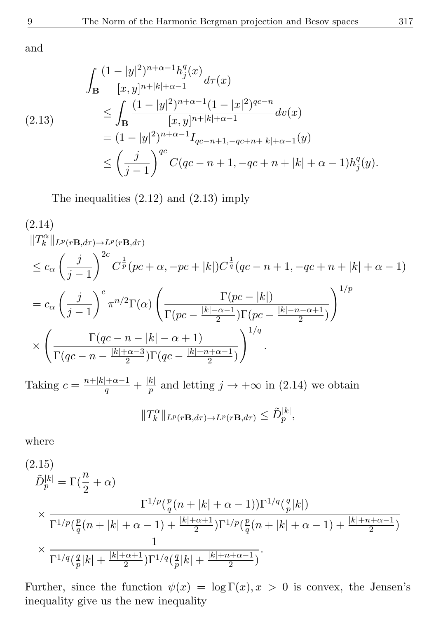and

$$
\int_{\mathbf{B}} \frac{(1-|y|^2)^{n+\alpha-1} h_j^q(x)}{[x,y]^{n+|k|+\alpha-1}} d\tau(x)
$$
\n
$$
\leq \int_{\mathbf{B}} \frac{(1-|y|^2)^{n+\alpha-1} (1-|x|^2)^{qc-n}}{[x,y]^{n+|k|+\alpha-1}} d\nu(x)
$$
\n
$$
= (1-|y|^2)^{n+\alpha-1} I_{qc-n+1,-qc+n+|k|+\alpha-1}(y)
$$
\n
$$
\leq \left(\frac{j}{j-1}\right)^{qc} C(qc-n+1, -qc+n+|k|+\alpha-1) h_j^q(y).
$$

The inequalities (2.12) and (2.13) imply

$$
(2.14) \n||T_k^{\alpha}||_{L^p(r\mathbf{B},d\tau) \to L^p(r\mathbf{B},d\tau)} \n\leq c_{\alpha} \left(\frac{j}{j-1}\right)^{2c} C^{\frac{1}{p}}(pc + \alpha, -pc + |k|) C^{\frac{1}{q}}(qc - n + 1, -qc + n + |k| + \alpha - 1) \n= c_{\alpha} \left(\frac{j}{j-1}\right)^{c} \pi^{n/2} \Gamma(\alpha) \left(\frac{\Gamma(pc - |k|)}{\Gamma(pc - \frac{|k| - \alpha - 1}{2}) \Gamma(pc - \frac{|k| - n - \alpha + 1}{2})}\right)^{1/p} \n\times \left(\frac{\Gamma(qc - n - |k| - \alpha + 1)}{\Gamma(qc - n - \frac{|k| + \alpha - 3}{2}) \Gamma(qc - \frac{|k| + n + \alpha - 1}{2})}\right)^{1/q}.
$$

Taking  $c = \frac{n+|k|+\alpha-1}{q} + \frac{|k|}{p}$  $\frac{k}{p}$  and letting  $j \to +\infty$  in (2.14) we obtain

$$
||T_k^{\alpha}||_{L^p(r\mathbf{B},d\tau)\to L^p(r\mathbf{B},d\tau)} \leq \tilde{D}_p^{|k|},
$$

where

(2.15)  
\n
$$
\tilde{D}_p^{|k|} = \Gamma(\frac{n}{2} + \alpha)
$$
\n
$$
\times \frac{\Gamma^{1/p}(\frac{p}{q}(n+|k|+\alpha-1))\Gamma^{1/q}(\frac{q}{p}|k|)}{\Gamma^{1/p}(\frac{p}{q}(n+|k|+\alpha-1) + \frac{|k|+\alpha+1}{2})\Gamma^{1/p}(\frac{p}{q}(n+|k|+\alpha-1) + \frac{|k|+n+\alpha-1}{2})}
$$
\n
$$
\times \frac{1}{\Gamma^{1/q}(\frac{q}{p}|k| + \frac{|k|+\alpha+1}{2})\Gamma^{1/q}(\frac{q}{p}|k| + \frac{|k|+n+\alpha-1}{2})}.
$$

Further, since the function  $\psi(x) = \log \Gamma(x), x > 0$  is convex, the Jensen's inequality give us the new inequality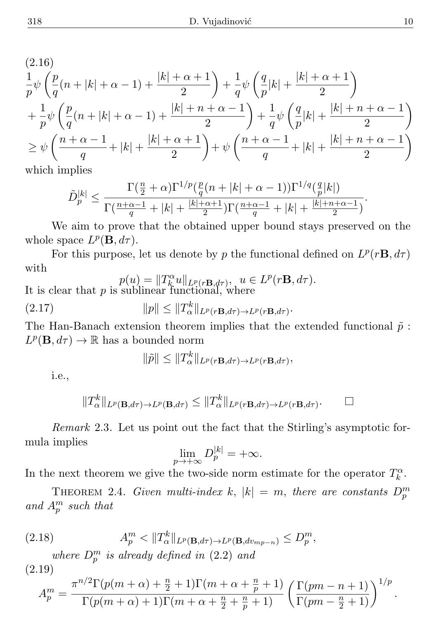$$
(2.16)
$$
\n
$$
\frac{1}{p}\psi\left(\frac{p}{q}(n+|k|+\alpha-1)+\frac{|k|+\alpha+1}{2}\right)+\frac{1}{q}\psi\left(\frac{q}{p}|k|+\frac{|k|+\alpha+1}{2}\right)
$$
\n
$$
+\frac{1}{p}\psi\left(\frac{p}{q}(n+|k|+\alpha-1)+\frac{|k|+n+\alpha-1}{2}\right)+\frac{1}{q}\psi\left(\frac{q}{p}|k|+\frac{|k|+n+\alpha-1}{2}\right)
$$
\n
$$
\geq \psi\left(\frac{n+\alpha-1}{q}+|k|+\frac{|k|+\alpha+1}{2}\right)+\psi\left(\frac{n+\alpha-1}{q}+|k|+\frac{|k|+n+\alpha-1}{2}\right)
$$

which implies

$$
\tilde{D}_p^{|k|} \leq \frac{\Gamma(\frac{n}{2}+\alpha)\Gamma^{1/p}(\frac{p}{q}(n+|k|+\alpha-1))\Gamma^{1/q}(\frac{q}{p}|k|)}{\Gamma(\frac{n+\alpha-1}{q}+|k|+\frac{|k|+\alpha+1}{2})\Gamma(\frac{n+\alpha-1}{q}+|k|+\frac{|k|+n+\alpha-1}{2})}.
$$

We aim to prove that the obtained upper bound stays preserved on the whole space  $L^p(\mathbf{B}, d\tau)$ .

For this purpose, let us denote by p the functional defined on  $L^p(r\mathbf{B}, d\tau)$ with

$$
p(u) = ||T_k^{\alpha}u||_{L^p(r\mathbf{B},d\tau)}, \ u \in L^p(r\mathbf{B},d\tau).
$$
  
It is clear that p is sublinear functional, where

(2.17) 
$$
||p|| \leq ||T_{\alpha}^{k}||_{L^{p}(r\mathbf{B},d\tau)\to L^{p}(r\mathbf{B},d\tau)}.
$$

The Han-Banach extension theorem implies that the extended functional  $\tilde{p}$ :  $L^p(\mathbf{B}, d\tau) \to \mathbb{R}$  has a bounded norm

$$
\|\tilde{p}\| \le \|T_{\alpha}^k\|_{L^p(r\mathbf{B},d\tau) \to L^p(r\mathbf{B},d\tau)},
$$

i.e.,

$$
||T_{\alpha}^{k}||_{L^{p}(\mathbf{B},d\tau)\to L^{p}(\mathbf{B},d\tau)} \leq ||T_{\alpha}^{k}||_{L^{p}(r\mathbf{B},d\tau)\to L^{p}(r\mathbf{B},d\tau)}.
$$

Remark 2.3. Let us point out the fact that the Stirling's asymptotic formula implies

$$
\lim_{p \to +\infty} D_p^{|k|} = +\infty.
$$

In the next theorem we give the two-side norm estimate for the operator  $T_k^{\alpha}$ .

THEOREM 2.4. Given multi-index k,  $|k| = m$ , there are constants  $D_p^m$ and  $A_p^m$  such that

(2.18) 
$$
A_p^m < ||T_{\alpha}^k||_{L^p(\mathbf{B},d\tau) \to L^p(\mathbf{B},d\nu_{m p-n})} \le D_p^m,
$$
  
where  $D_p^m$  is already defined in (2.2) and

(2.19)

$$
A_p^m = \frac{\pi^{n/2} \Gamma(p(m+\alpha) + \frac{n}{2} + 1) \Gamma(m + \alpha + \frac{n}{p} + 1)}{\Gamma(p(m+\alpha) + 1) \Gamma(m + \alpha + \frac{n}{2} + \frac{n}{p} + 1)} \left(\frac{\Gamma(pm - n + 1)}{\Gamma(pm - \frac{n}{2} + 1)}\right)^{1/p}.
$$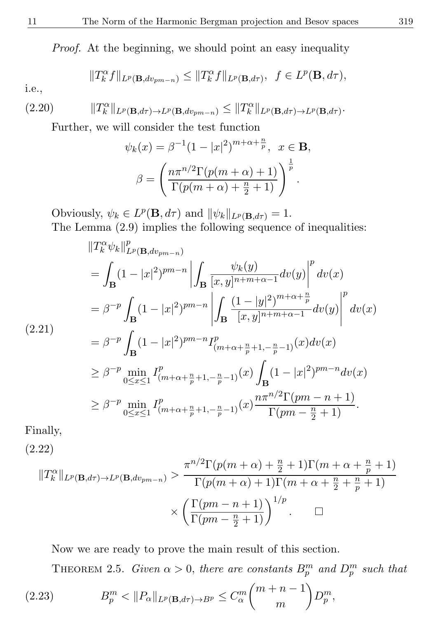Proof. At the beginning, we should point an easy inequality

$$
|T_{k}^{\alpha} f||_{L^{p}(\mathbf{B}, dv_{pm-n})} \leq ||T_{k}^{\alpha} f||_{L^{p}(\mathbf{B}, d\tau)}, \ \ f \in L^{p}(\mathbf{B}, d\tau),
$$

i.e.,

 $\overline{\phantom{a}}$ 

(2.20) kT α k kLp(B,dτ)→Lp(B,dvpm−n) ≤ kT α k kLp(B,dτ)→Lp(B,dτ) .

Further, we will consider the test function

$$
\psi_k(x) = \beta^{-1} (1 - |x|^2)^{m + \alpha + \frac{n}{p}}, \quad x \in \mathbf{B},
$$

$$
\beta = \left( \frac{n \pi^{n/2} \Gamma(p(m + \alpha) + 1)}{\Gamma(p(m + \alpha) + \frac{n}{2} + 1)} \right)^{\frac{1}{p}}.
$$

Obviously,  $\psi_k \in L^p(\mathbf{B}, d\tau)$  and  $\|\psi_k\|_{L^p(\mathbf{B}, d\tau)} = 1$ . The Lemma (2.9) implies the following sequence of inequalities:

$$
||T_{k}^{\alpha}\psi_{k}||_{L^{p}(\mathbf{B},dv_{pm-n})}^{p} = \int_{\mathbf{B}} (1-|x|^{2})^{pm-n} \left| \int_{\mathbf{B}} \frac{\psi_{k}(y)}{[x,y]^{n+m+\alpha-1}} dv(y) \right|^{p} dv(x)
$$
  
\n
$$
= \beta^{-p} \int_{\mathbf{B}} (1-|x|^{2})^{pm-n} \left| \int_{\mathbf{B}} \frac{(1-|y|^{2})^{m+\alpha+\frac{n}{p}}}{[x,y]^{n+m+\alpha-1}} dv(y) \right|^{p} dv(x)
$$
  
\n(2.21)  
\n
$$
= \beta^{-p} \int_{\mathbf{B}} (1-|x|^{2})^{pm-n} I_{(m+\alpha+\frac{n}{p}+1,-\frac{n}{p}-1)}^{p} (x) dv(x)
$$
  
\n
$$
\geq \beta^{-p} \min_{0 \leq x \leq 1} I_{(m+\alpha+\frac{n}{p}+1,-\frac{n}{p}-1)}^{p} (x) \int_{\mathbf{B}} (1-|x|^{2})^{pm-n} dv(x)
$$
  
\n
$$
\geq \beta^{-p} \min_{0 \leq x \leq 1} I_{(m+\alpha+\frac{n}{p}+1,-\frac{n}{p}-1)}^{p} (x) \frac{n\pi^{n/2} \Gamma(pm-n+1)}{\Gamma(pm-\frac{n}{2}+1)}.
$$

Finally,

(2.22)

$$
||T_k^{\alpha}||_{L^p(\mathbf{B},d\tau) \to L^p(\mathbf{B},dv_{pm-n})} > \frac{\pi^{n/2}\Gamma(p(m+\alpha)+\frac{n}{2}+1)\Gamma(m+\alpha+\frac{n}{p}+1)}{\Gamma(p(m+\alpha)+1)\Gamma(m+\alpha+\frac{n}{2}+\frac{n}{p}+1)} \times \left(\frac{\Gamma(pm-n+1)}{\Gamma(pm-\frac{n}{2}+1)}\right)^{1/p}.\quad \Box
$$

Now we are ready to prove the main result of this section.

THEOREM 2.5. Given  $\alpha > 0$ , there are constants  $B_p^m$  and  $D_p^m$  such that

(2.23) 
$$
B_p^m < ||P_\alpha||_{L^p(\mathbf{B}, d\tau) \to B^p} \leq C_\alpha^m {m+n-1 \choose m} D_p^m,
$$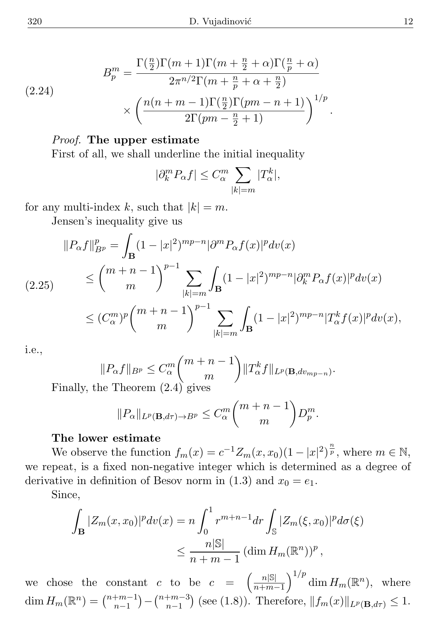(2.24)  

$$
B_p^m = \frac{\Gamma(\frac{n}{2})\Gamma(m+1)\Gamma(m+\frac{n}{2}+\alpha)\Gamma(\frac{n}{p}+\alpha)}{2\pi^{n/2}\Gamma(m+\frac{n}{p}+\alpha+\frac{n}{2})}
$$

$$
\times \left(\frac{n(n+m-1)\Gamma(\frac{n}{2})\Gamma(pm-n+1)}{2\Gamma(pm-\frac{n}{2}+1)}\right)^{1/p}.
$$

## Proof. The upper estimate

First of all, we shall underline the initial inequality

$$
|\partial_k^m P_\alpha f| \le C_\alpha^m \sum_{|k|=m} |T_\alpha^k|,
$$

for any multi-index k, such that  $|k| = m$ .

Jensen's inequality give us

$$
||P_{\alpha}f||_{B^{p}}^{p} = \int_{\mathbf{B}} (1 - |x|^{2})^{mp-n} |\partial^{m} P_{\alpha}f(x)|^{p} dv(x)
$$
  
(2.25) 
$$
\leq {m+n-1 \choose m}^{p-1} \sum_{|k|=m} \int_{\mathbf{B}} (1 - |x|^{2})^{mp-n} |\partial_{k}^{m} P_{\alpha}f(x)|^{p} dv(x)
$$
  

$$
\leq (C_{\alpha}^{m})^{p} {m+n-1 \choose m}^{p-1} \sum_{|k|=m} \int_{\mathbf{B}} (1 - |x|^{2})^{mp-n} |T_{\alpha}^{k}f(x)|^{p} dv(x),
$$

i.e.,

$$
||P_{\alpha}f||_{B^p} \leq C_{\alpha}^m {m+n-1 \choose m} ||T_{\alpha}^k f||_{L^p(\mathbf{B}, dv_{mp-n})}.
$$
  
the Theorem (2.4) gives

Finally, t

$$
||P_{\alpha}||_{L^{p}(\mathbf{B},d\tau)\to B^{p}} \leq C_{\alpha}^{m}\binom{m+n-1}{m}D_{p}^{m}.
$$

### The lower estimate

We observe the function  $f_m(x) = c^{-1} Z_m(x, x_0) (1 - |x|^2)^{\frac{n}{p}}$ , where  $m \in \mathbb{N}$ , we repeat, is a fixed non-negative integer which is determined as a degree of derivative in definition of Besov norm in (1.3) and  $x_0 = e_1$ .

Since,

$$
\int_{\mathbf{B}} |Z_m(x, x_0)|^p dv(x) = n \int_0^1 r^{m+n-1} dr \int_{\mathbb{S}} |Z_m(\xi, x_0)|^p d\sigma(\xi)
$$
  

$$
\leq \frac{n|\mathbb{S}|}{n+m-1} (\dim H_m(\mathbb{R}^n))^p,
$$

we chose the constant c to be  $c = \left(\frac{n|\mathbb{S}|}{n+m}\right)$  $\frac{n|\mathbb{S}|}{n+m-1}$  dim  $H_m(\mathbb{R}^n)$ , where dim  $H_m(\mathbb{R}^n) = \binom{n+m-1}{n-1}$  $\binom{m-1}{n-1} - \binom{n+m-3}{n-1}$  $_{n-1}^{+m-3}$  (see (1.8)). Therefore,  $||f_m(x)||_{L^p(\mathbf{B},d\tau)} \leq 1$ .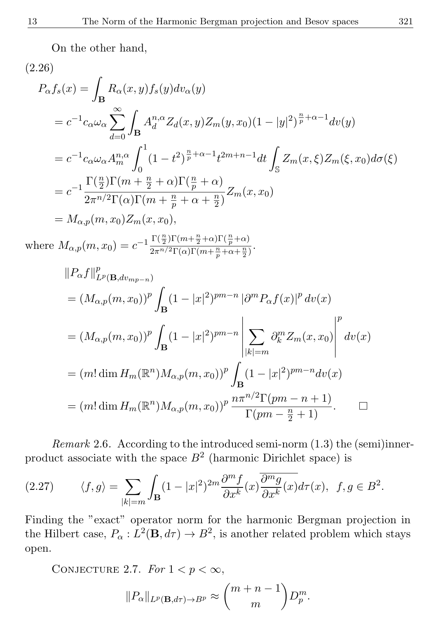On the other hand,

$$
(2.26)
$$
\n
$$
P_{\alpha}f_{s}(x) = \int_{\mathbf{B}} R_{\alpha}(x, y) f_{s}(y) dv_{\alpha}(y)
$$
\n
$$
= c^{-1}c_{\alpha}\omega_{\alpha} \sum_{d=0}^{\infty} \int_{\mathbf{B}} A_{d}^{n,\alpha} Z_{d}(x, y) Z_{m}(y, x_{0})(1 - |y|^{2})^{\frac{n}{p} + \alpha - 1} dv(y)
$$
\n
$$
= c^{-1}c_{\alpha}\omega_{\alpha} A_{m}^{n,\alpha} \int_{0}^{1} (1 - t^{2})^{\frac{n}{p} + \alpha - 1} t^{2m + n - 1} dt \int_{\mathbb{S}} Z_{m}(x, \xi) Z_{m}(\xi, x_{0}) d\sigma(\xi)
$$
\n
$$
= c^{-1} \frac{\Gamma(\frac{n}{2})\Gamma(m + \frac{n}{2} + \alpha)\Gamma(\frac{n}{p} + \alpha)}{2\pi^{n/2}\Gamma(\alpha)\Gamma(m + \frac{n}{p} + \alpha + \frac{n}{2})} Z_{m}(x, x_{0})
$$
\n
$$
= M_{\alpha, p}(m, x_{0}) Z_{m}(x, x_{0}),
$$
\nwhere  $M_{\alpha, p}(m, x_{0}) = c^{-1} \frac{\Gamma(\frac{n}{2})\Gamma(m + \frac{n}{2} + \alpha)\Gamma(\frac{n}{p} + \alpha)}{2\pi^{n/2}\Gamma(\alpha)\Gamma(m + \frac{n}{p} + \alpha + \frac{n}{2})}.$ \n
$$
||P_{\alpha}f||_{L^{p}(\mathbf{B}, dv_{m-p-n})}^{p}
$$
\n
$$
= (M_{\alpha, p}(m, x_{0}))^{p} \int_{\mathbf{B}} (1 - |x|^{2})^{pm-n} |\partial^{m}P_{\alpha}f(x)|^{p} dv(x)
$$
\n
$$
= (M_{\alpha, p}(m, x_{0}))^{p} \int_{\mathbf{B}} (1 - |x|^{2})^{pm-n} \left| \sum_{|k| = m} \partial_{k}^{m} Z_{m}(x, x_{0}) \right|^{p} dv(x)
$$
\n
$$
= (m! \dim H_{m}(\mathbb{R}^{n}) M_{\alpha, p}(m, x_{0}))^{p} \frac{n\pi^{n/2}\Gamma(pm - n + 1)}{\Gamma(pm - \frac{n}{2} + 1)}.
$$

Remark 2.6. According to the introduced semi-norm (1.3) the (semi)innerproduct associate with the space  $B<sup>2</sup>$  (harmonic Dirichlet space) is

(2.27) 
$$
\langle f, g \rangle = \sum_{|k|=m} \int_{\mathbf{B}} (1 - |x|^2)^{2m} \frac{\partial^m f}{\partial x^k}(x) \overline{\frac{\partial^m g}{\partial x^k}(x)} d\tau(x), \ f, g \in B^2.
$$

Finding the "exact" operator norm for the harmonic Bergman projection in the Hilbert case,  $P_{\alpha}: L^2(\mathbf{B}, d\tau) \to B^2$ , is another related problem which stays open.

CONJECTURE 2.7. For  $1 < p < \infty$ ,

$$
||P_{\alpha}||_{L^p(\mathbf{B},d\tau)\to B^p} \approx \binom{m+n-1}{m}D_p^m.
$$